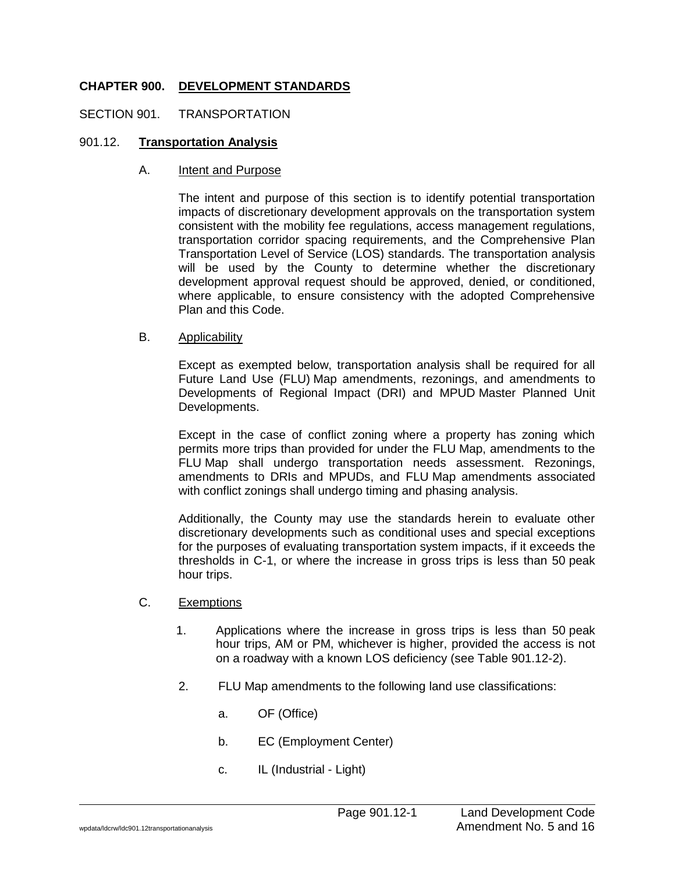## **CHAPTER 900. DEVELOPMENT STANDARDS**

### SECTION 901. TRANSPORTATION

### 901.12. **Transportation Analysis**

#### A. Intent and Purpose

The intent and purpose of this section is to identify potential transportation impacts of discretionary development approvals on the transportation system consistent with the mobility fee regulations, access management regulations, transportation corridor spacing requirements, and the Comprehensive Plan Transportation Level of Service (LOS) standards. The transportation analysis will be used by the County to determine whether the discretionary development approval request should be approved, denied, or conditioned, where applicable, to ensure consistency with the adopted Comprehensive Plan and this Code.

### B. Applicability

Except as exempted below, transportation analysis shall be required for all Future Land Use (FLU) Map amendments, rezonings, and amendments to Developments of Regional Impact (DRI) and MPUD Master Planned Unit Developments.

Except in the case of conflict zoning where a property has zoning which permits more trips than provided for under the FLU Map, amendments to the FLU Map shall undergo transportation needs assessment. Rezonings, amendments to DRIs and MPUDs, and FLU Map amendments associated with conflict zonings shall undergo timing and phasing analysis.

Additionally, the County may use the standards herein to evaluate other discretionary developments such as conditional uses and special exceptions for the purposes of evaluating transportation system impacts, if it exceeds the thresholds in C-1, or where the increase in gross trips is less than 50 peak hour trips.

#### C. Exemptions

- 1. Applications where the increase in gross trips is less than 50 peak hour trips, AM or PM, whichever is higher, provided the access is not on a roadway with a known LOS deficiency (see Table 901.12-2).
- 2. FLU Map amendments to the following land use classifications:
	- a. OF (Office)
	- b. EC (Employment Center)
	- c. IL (Industrial Light)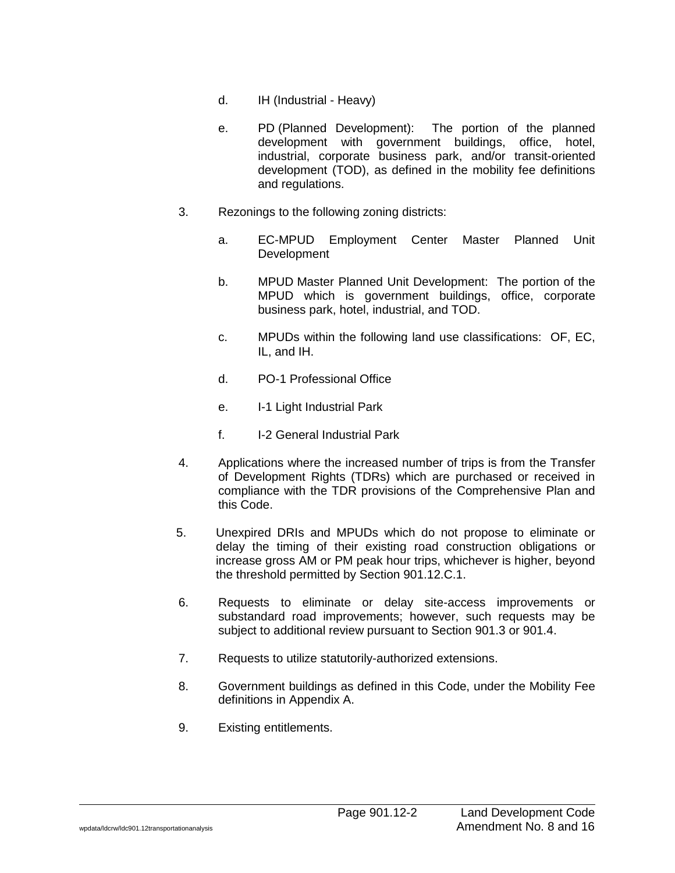- d. IH (Industrial Heavy)
- e. PD (Planned Development): The portion of the planned development with government buildings, office, hotel, industrial, corporate business park, and/or transit-oriented development (TOD), as defined in the mobility fee definitions and regulations.
- 3. Rezonings to the following zoning districts:
	- a. EC-MPUD Employment Center Master Planned Unit **Development**
	- b. MPUD Master Planned Unit Development: The portion of the MPUD which is government buildings, office, corporate business park, hotel, industrial, and TOD.
	- c. MPUDs within the following land use classifications: OF, EC, IL, and IH.
	- d. PO-1 Professional Office
	- e. I-1 Light Industrial Park
	- f. I-2 General Industrial Park
- 4. Applications where the increased number of trips is from the Transfer of Development Rights (TDRs) which are purchased or received in compliance with the TDR provisions of the Comprehensive Plan and this Code.
- 5. Unexpired DRIs and MPUDs which do not propose to eliminate or delay the timing of their existing road construction obligations or increase gross AM or PM peak hour trips, whichever is higher, beyond the threshold permitted by Section 901.12.C.1.
- 6. Requests to eliminate or delay site-access improvements or substandard road improvements; however, such requests may be subject to additional review pursuant to Section 901.3 or 901.4.
- 7. Requests to utilize statutorily-authorized extensions.
- 8. Government buildings as defined in this Code, under the Mobility Fee definitions in Appendix A.
- 9. Existing entitlements.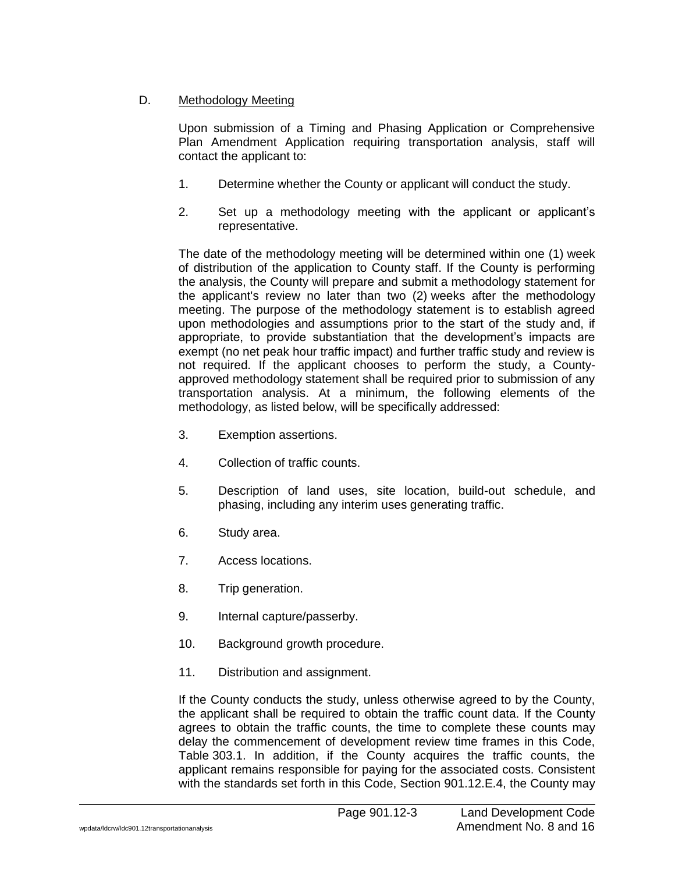# D. Methodology Meeting

Upon submission of a Timing and Phasing Application or Comprehensive Plan Amendment Application requiring transportation analysis, staff will contact the applicant to:

- 1. Determine whether the County or applicant will conduct the study.
- 2. Set up a methodology meeting with the applicant or applicant's representative.

The date of the methodology meeting will be determined within one (1) week of distribution of the application to County staff. If the County is performing the analysis, the County will prepare and submit a methodology statement for the applicant's review no later than two (2) weeks after the methodology meeting. The purpose of the methodology statement is to establish agreed upon methodologies and assumptions prior to the start of the study and, if appropriate, to provide substantiation that the development's impacts are exempt (no net peak hour traffic impact) and further traffic study and review is not required. If the applicant chooses to perform the study, a Countyapproved methodology statement shall be required prior to submission of any transportation analysis. At a minimum, the following elements of the methodology, as listed below, will be specifically addressed:

- 3. Exemption assertions.
- 4. Collection of traffic counts.
- 5. Description of land uses, site location, build-out schedule, and phasing, including any interim uses generating traffic.
- 6. Study area.
- 7. Access locations.
- 8. Trip generation.
- 9. Internal capture/passerby.
- 10. Background growth procedure.
- 11. Distribution and assignment.

If the County conducts the study, unless otherwise agreed to by the County, the applicant shall be required to obtain the traffic count data. If the County agrees to obtain the traffic counts, the time to complete these counts may delay the commencement of development review time frames in this Code, Table 303.1. In addition, if the County acquires the traffic counts, the applicant remains responsible for paying for the associated costs. Consistent with the standards set forth in this Code, Section 901.12.E.4, the County may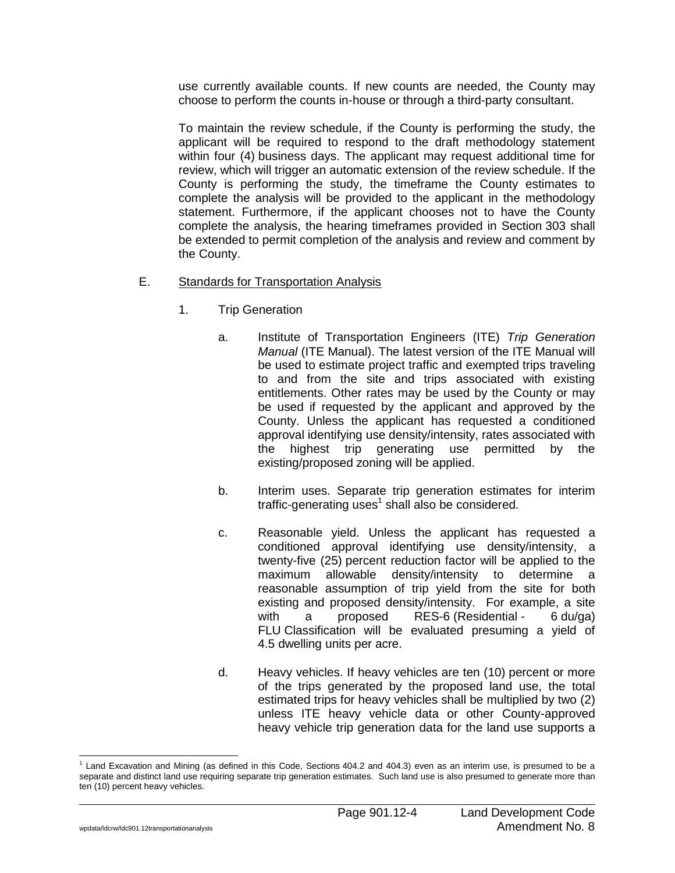use currently available counts. If new counts are needed, the County may choose to perform the counts in-house or through a third-party consultant.

To maintain the review schedule, if the County is performing the study, the applicant will be required to respond to the draft methodology statement within four (4) business days. The applicant may request additional time for review, which will trigger an automatic extension of the review schedule. If the County is performing the study, the timeframe the County estimates to complete the analysis will be provided to the applicant in the methodology statement. Furthermore, if the applicant chooses not to have the County complete the analysis, the hearing timeframes provided in Section 303 shall be extended to permit completion of the analysis and review and comment by the County.

- E. Standards for Transportation Analysis
	- 1. Trip Generation
		- a. Institute of Transportation Engineers (ITE) *Trip Generation Manual* (ITE Manual). The latest version of the ITE Manual will be used to estimate project traffic and exempted trips traveling to and from the site and trips associated with existing entitlements. Other rates may be used by the County or may be used if requested by the applicant and approved by the County. Unless the applicant has requested a conditioned approval identifying use density/intensity, rates associated with the highest trip generating use permitted by the existing/proposed zoning will be applied.
		- b. Interim uses. Separate trip generation estimates for interim traffic-generating uses<sup>1</sup> shall also be considered.
		- c. Reasonable yield. Unless the applicant has requested a conditioned approval identifying use density/intensity, a twenty-five (25) percent reduction factor will be applied to the maximum allowable density/intensity to determine a reasonable assumption of trip yield from the site for both existing and proposed density/intensity. For example, a site with a proposed RES-6 (Residential - 6 du/ga) FLU Classification will be evaluated presuming a yield of 4.5 dwelling units per acre.
		- d. Heavy vehicles. If heavy vehicles are ten (10) percent or more of the trips generated by the proposed land use, the total estimated trips for heavy vehicles shall be multiplied by two (2) unless ITE heavy vehicle data or other County-approved heavy vehicle trip generation data for the land use supports a

 $\overline{a}$ 

 $1$  Land Excavation and Mining (as defined in this Code, Sections 404.2 and 404.3) even as an interim use, is presumed to be a separate and distinct land use requiring separate trip generation estimates. Such land use is also presumed to generate more than ten (10) percent heavy vehicles.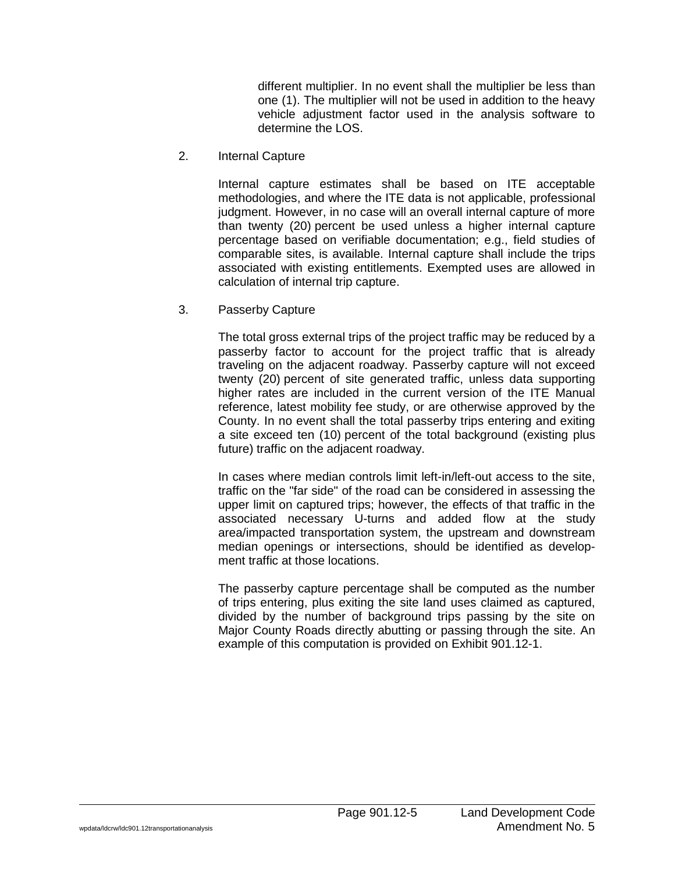different multiplier. In no event shall the multiplier be less than one (1). The multiplier will not be used in addition to the heavy vehicle adjustment factor used in the analysis software to determine the LOS.

2. Internal Capture

Internal capture estimates shall be based on ITE acceptable methodologies, and where the ITE data is not applicable, professional judgment. However, in no case will an overall internal capture of more than twenty (20) percent be used unless a higher internal capture percentage based on verifiable documentation; e.g., field studies of comparable sites, is available. Internal capture shall include the trips associated with existing entitlements. Exempted uses are allowed in calculation of internal trip capture.

3. Passerby Capture

The total gross external trips of the project traffic may be reduced by a passerby factor to account for the project traffic that is already traveling on the adjacent roadway. Passerby capture will not exceed twenty (20) percent of site generated traffic, unless data supporting higher rates are included in the current version of the ITE Manual reference, latest mobility fee study, or are otherwise approved by the County. In no event shall the total passerby trips entering and exiting a site exceed ten (10) percent of the total background (existing plus future) traffic on the adjacent roadway.

In cases where median controls limit left-in/left-out access to the site, traffic on the "far side" of the road can be considered in assessing the upper limit on captured trips; however, the effects of that traffic in the associated necessary U-turns and added flow at the study area/impacted transportation system, the upstream and downstream median openings or intersections, should be identified as development traffic at those locations.

The passerby capture percentage shall be computed as the number of trips entering, plus exiting the site land uses claimed as captured, divided by the number of background trips passing by the site on Major County Roads directly abutting or passing through the site. An example of this computation is provided on Exhibit 901.12-1.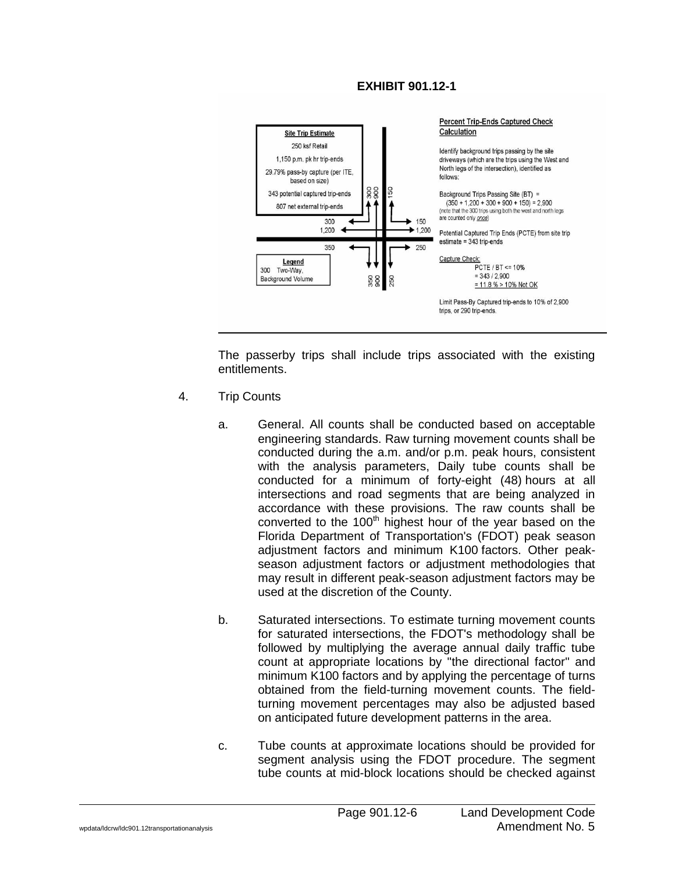### **EXHIBIT 901.12-1**



The passerby trips shall include trips associated with the existing entitlements.

- 4. Trip Counts
	- a. General. All counts shall be conducted based on acceptable engineering standards. Raw turning movement counts shall be conducted during the a.m. and/or p.m. peak hours, consistent with the analysis parameters, Daily tube counts shall be conducted for a minimum of forty-eight (48) hours at all intersections and road segments that are being analyzed in accordance with these provisions. The raw counts shall be converted to the  $100<sup>th</sup>$  highest hour of the year based on the Florida Department of Transportation's (FDOT) peak season adjustment factors and minimum K100 factors. Other peakseason adjustment factors or adjustment methodologies that may result in different peak-season adjustment factors may be used at the discretion of the County.
	- b. Saturated intersections. To estimate turning movement counts for saturated intersections, the FDOT's methodology shall be followed by multiplying the average annual daily traffic tube count at appropriate locations by "the directional factor" and minimum K100 factors and by applying the percentage of turns obtained from the field-turning movement counts. The fieldturning movement percentages may also be adjusted based on anticipated future development patterns in the area.
	- c. Tube counts at approximate locations should be provided for segment analysis using the FDOT procedure. The segment tube counts at mid-block locations should be checked against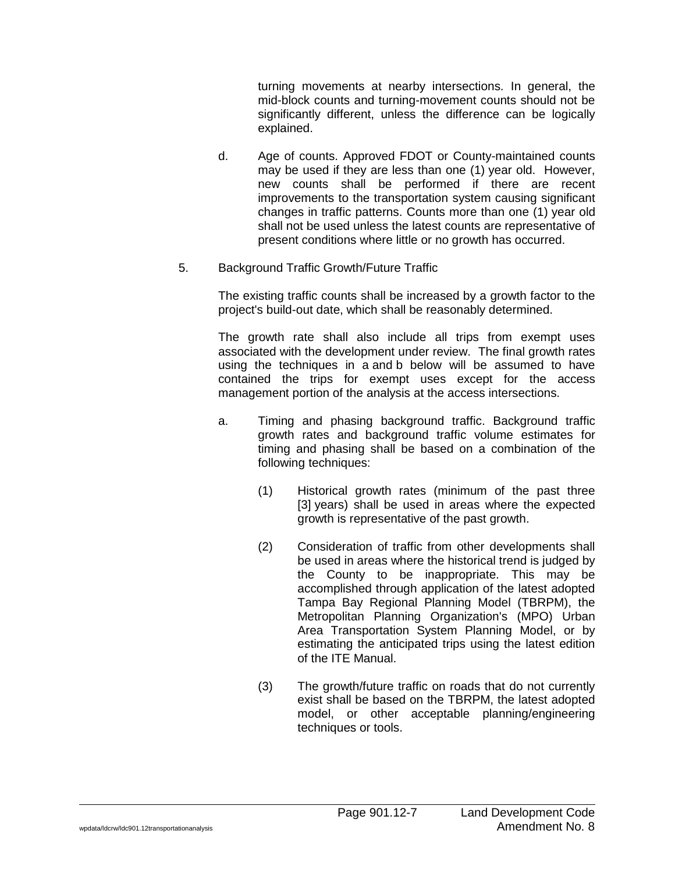turning movements at nearby intersections. In general, the mid-block counts and turning-movement counts should not be significantly different, unless the difference can be logically explained.

- d. Age of counts. Approved FDOT or County-maintained counts may be used if they are less than one (1) year old. However, new counts shall be performed if there are recent improvements to the transportation system causing significant changes in traffic patterns. Counts more than one (1) year old shall not be used unless the latest counts are representative of present conditions where little or no growth has occurred.
- 5. Background Traffic Growth/Future Traffic

The existing traffic counts shall be increased by a growth factor to the project's build-out date, which shall be reasonably determined.

The growth rate shall also include all trips from exempt uses associated with the development under review. The final growth rates using the techniques in a and b below will be assumed to have contained the trips for exempt uses except for the access management portion of the analysis at the access intersections.

- a. Timing and phasing background traffic. Background traffic growth rates and background traffic volume estimates for timing and phasing shall be based on a combination of the following techniques:
	- (1) Historical growth rates (minimum of the past three [3] years) shall be used in areas where the expected growth is representative of the past growth.
	- (2) Consideration of traffic from other developments shall be used in areas where the historical trend is judged by the County to be inappropriate. This may be accomplished through application of the latest adopted Tampa Bay Regional Planning Model (TBRPM), the Metropolitan Planning Organization's (MPO) Urban Area Transportation System Planning Model, or by estimating the anticipated trips using the latest edition of the ITE Manual.
	- (3) The growth/future traffic on roads that do not currently exist shall be based on the TBRPM, the latest adopted model, or other acceptable planning/engineering techniques or tools.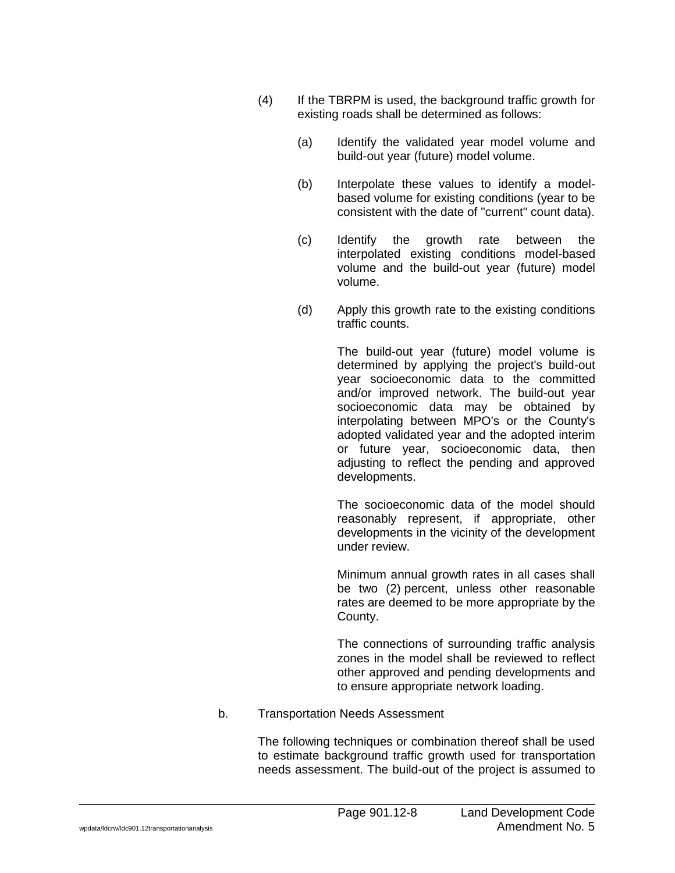- (4) If the TBRPM is used, the background traffic growth for existing roads shall be determined as follows:
	- (a) Identify the validated year model volume and build-out year (future) model volume.
	- (b) Interpolate these values to identify a modelbased volume for existing conditions (year to be consistent with the date of "current" count data).
	- (c) Identify the growth rate between the interpolated existing conditions model-based volume and the build-out year (future) model volume.
	- (d) Apply this growth rate to the existing conditions traffic counts.

The build-out year (future) model volume is determined by applying the project's build-out year socioeconomic data to the committed and/or improved network. The build-out year socioeconomic data may be obtained by interpolating between MPO's or the County's adopted validated year and the adopted interim or future year, socioeconomic data, then adjusting to reflect the pending and approved developments.

The socioeconomic data of the model should reasonably represent, if appropriate, other developments in the vicinity of the development under review.

Minimum annual growth rates in all cases shall be two (2) percent, unless other reasonable rates are deemed to be more appropriate by the County.

The connections of surrounding traffic analysis zones in the model shall be reviewed to reflect other approved and pending developments and to ensure appropriate network loading.

b. Transportation Needs Assessment

The following techniques or combination thereof shall be used to estimate background traffic growth used for transportation needs assessment. The build-out of the project is assumed to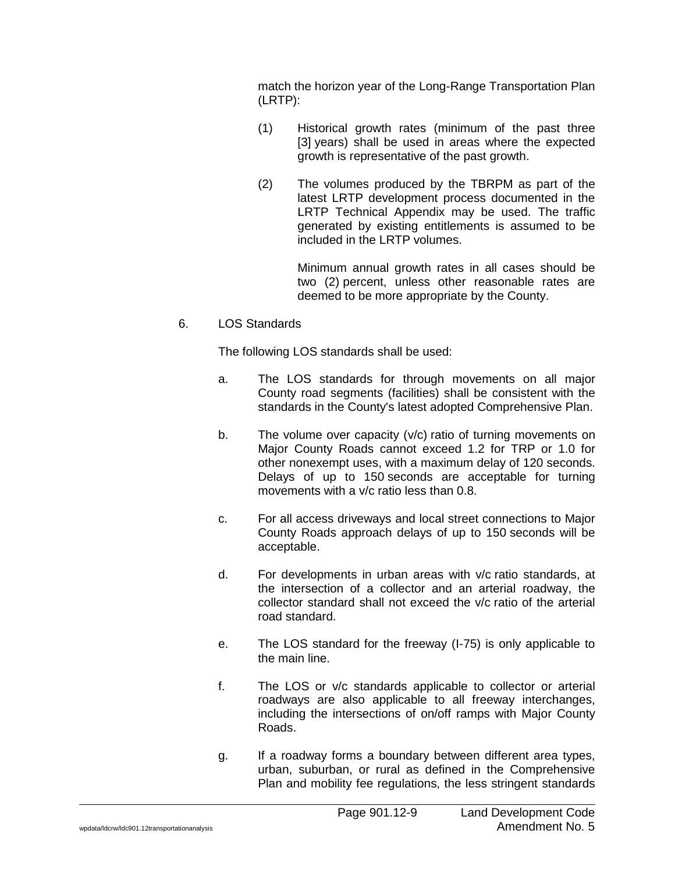match the horizon year of the Long-Range Transportation Plan (LRTP):

- (1) Historical growth rates (minimum of the past three [3] years) shall be used in areas where the expected growth is representative of the past growth.
- (2) The volumes produced by the TBRPM as part of the latest LRTP development process documented in the LRTP Technical Appendix may be used. The traffic generated by existing entitlements is assumed to be included in the LRTP volumes.

Minimum annual growth rates in all cases should be two (2) percent, unless other reasonable rates are deemed to be more appropriate by the County.

### 6. LOS Standards

The following LOS standards shall be used:

- a. The LOS standards for through movements on all major County road segments (facilities) shall be consistent with the standards in the County's latest adopted Comprehensive Plan.
- b. The volume over capacity (v/c) ratio of turning movements on Major County Roads cannot exceed 1.2 for TRP or 1.0 for other nonexempt uses, with a maximum delay of 120 seconds. Delays of up to 150 seconds are acceptable for turning movements with a v/c ratio less than 0.8.
- c. For all access driveways and local street connections to Major County Roads approach delays of up to 150 seconds will be acceptable.
- d. For developments in urban areas with v/c ratio standards, at the intersection of a collector and an arterial roadway, the collector standard shall not exceed the v/c ratio of the arterial road standard.
- e. The LOS standard for the freeway (I-75) is only applicable to the main line.
- f. The LOS or v/c standards applicable to collector or arterial roadways are also applicable to all freeway interchanges, including the intersections of on/off ramps with Major County Roads.
- g. If a roadway forms a boundary between different area types, urban, suburban, or rural as defined in the Comprehensive Plan and mobility fee regulations, the less stringent standards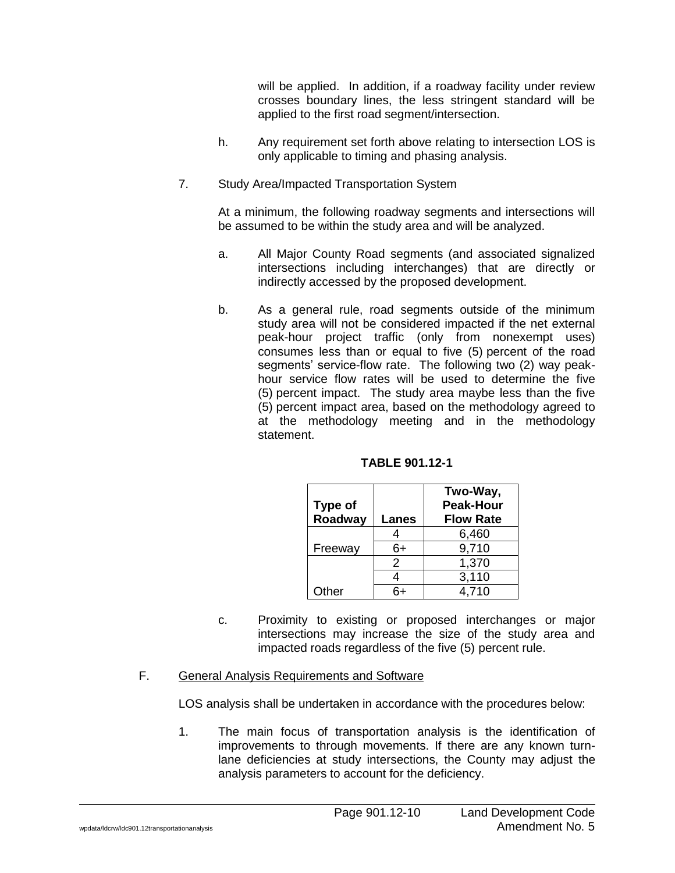will be applied. In addition, if a roadway facility under review crosses boundary lines, the less stringent standard will be applied to the first road segment/intersection.

- h. Any requirement set forth above relating to intersection LOS is only applicable to timing and phasing analysis.
- 7. Study Area/Impacted Transportation System

At a minimum, the following roadway segments and intersections will be assumed to be within the study area and will be analyzed.

- a. All Major County Road segments (and associated signalized intersections including interchanges) that are directly or indirectly accessed by the proposed development.
- b. As a general rule, road segments outside of the minimum study area will not be considered impacted if the net external peak-hour project traffic (only from nonexempt uses) consumes less than or equal to five (5) percent of the road segments' service-flow rate. The following two (2) way peakhour service flow rates will be used to determine the five (5) percent impact. The study area maybe less than the five (5) percent impact area, based on the methodology agreed to at the methodology meeting and in the methodology statement.

**TABLE 901.12-1**

| Type of |               | Two-Way,<br><b>Peak-Hour</b> |
|---------|---------------|------------------------------|
| Roadway | Lanes         | <b>Flow Rate</b>             |
|         |               | 6,460                        |
| Freeway | 6+            | 9,710                        |
|         | $\mathcal{P}$ | 1,370                        |
|         |               | 3,110                        |
| Other   |               | 4,710                        |

- c. Proximity to existing or proposed interchanges or major intersections may increase the size of the study area and impacted roads regardless of the five (5) percent rule.
- F. General Analysis Requirements and Software

LOS analysis shall be undertaken in accordance with the procedures below:

1. The main focus of transportation analysis is the identification of improvements to through movements. If there are any known turnlane deficiencies at study intersections, the County may adjust the analysis parameters to account for the deficiency.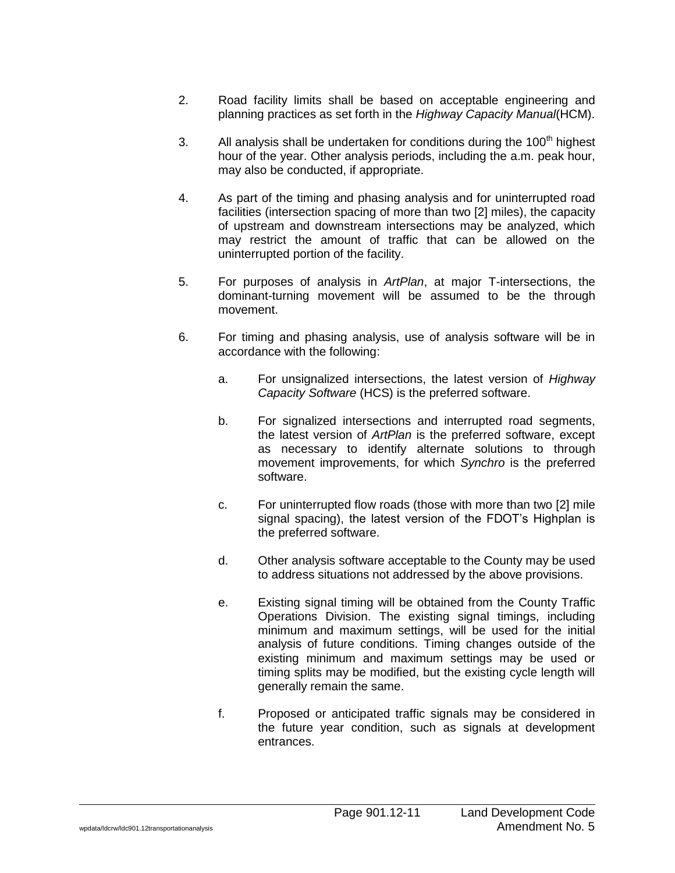- 2. Road facility limits shall be based on acceptable engineering and planning practices as set forth in the *Highway Capacity Manual*(HCM).
- 3. All analysis shall be undertaken for conditions during the 100 $<sup>th</sup>$  highest</sup> hour of the year. Other analysis periods, including the a.m. peak hour, may also be conducted, if appropriate.
- 4. As part of the timing and phasing analysis and for uninterrupted road facilities (intersection spacing of more than two [2] miles), the capacity of upstream and downstream intersections may be analyzed, which may restrict the amount of traffic that can be allowed on the uninterrupted portion of the facility.
- 5. For purposes of analysis in *ArtPlan*, at major T-intersections, the dominant-turning movement will be assumed to be the through movement.
- 6. For timing and phasing analysis, use of analysis software will be in accordance with the following:
	- a. For unsignalized intersections, the latest version of *Highway Capacity Software* (HCS) is the preferred software.
	- b. For signalized intersections and interrupted road segments, the latest version of *ArtPlan* is the preferred software, except as necessary to identify alternate solutions to through movement improvements, for which *Synchro* is the preferred software.
	- c. For uninterrupted flow roads (those with more than two [2] mile signal spacing), the latest version of the FDOT's Highplan is the preferred software.
	- d. Other analysis software acceptable to the County may be used to address situations not addressed by the above provisions.
	- e. Existing signal timing will be obtained from the County Traffic Operations Division. The existing signal timings, including minimum and maximum settings, will be used for the initial analysis of future conditions. Timing changes outside of the existing minimum and maximum settings may be used or timing splits may be modified, but the existing cycle length will generally remain the same.
	- f. Proposed or anticipated traffic signals may be considered in the future year condition, such as signals at development entrances.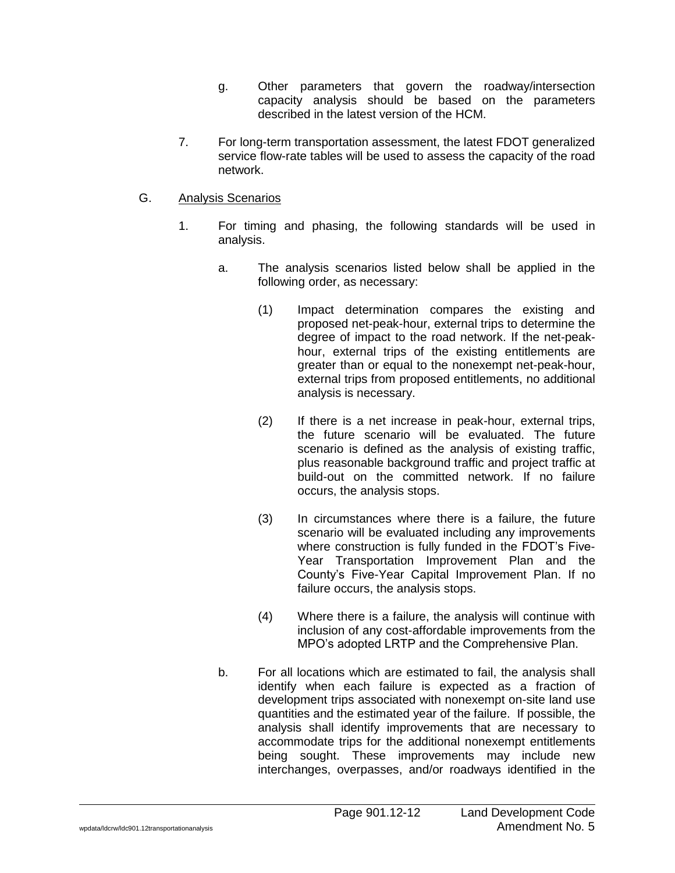- g. Other parameters that govern the roadway/intersection capacity analysis should be based on the parameters described in the latest version of the HCM.
- 7. For long-term transportation assessment, the latest FDOT generalized service flow-rate tables will be used to assess the capacity of the road network.
- G. Analysis Scenarios
	- 1. For timing and phasing, the following standards will be used in analysis.
		- a. The analysis scenarios listed below shall be applied in the following order, as necessary:
			- (1) Impact determination compares the existing and proposed net-peak-hour, external trips to determine the degree of impact to the road network. If the net-peakhour, external trips of the existing entitlements are greater than or equal to the nonexempt net-peak-hour, external trips from proposed entitlements, no additional analysis is necessary.
			- (2) If there is a net increase in peak-hour, external trips, the future scenario will be evaluated. The future scenario is defined as the analysis of existing traffic, plus reasonable background traffic and project traffic at build-out on the committed network. If no failure occurs, the analysis stops.
			- (3) In circumstances where there is a failure, the future scenario will be evaluated including any improvements where construction is fully funded in the FDOT's Five-Year Transportation Improvement Plan and the County's Five-Year Capital Improvement Plan. If no failure occurs, the analysis stops.
			- (4) Where there is a failure, the analysis will continue with inclusion of any cost-affordable improvements from the MPO's adopted LRTP and the Comprehensive Plan.
		- b. For all locations which are estimated to fail, the analysis shall identify when each failure is expected as a fraction of development trips associated with nonexempt on-site land use quantities and the estimated year of the failure. If possible, the analysis shall identify improvements that are necessary to accommodate trips for the additional nonexempt entitlements being sought. These improvements may include new interchanges, overpasses, and/or roadways identified in the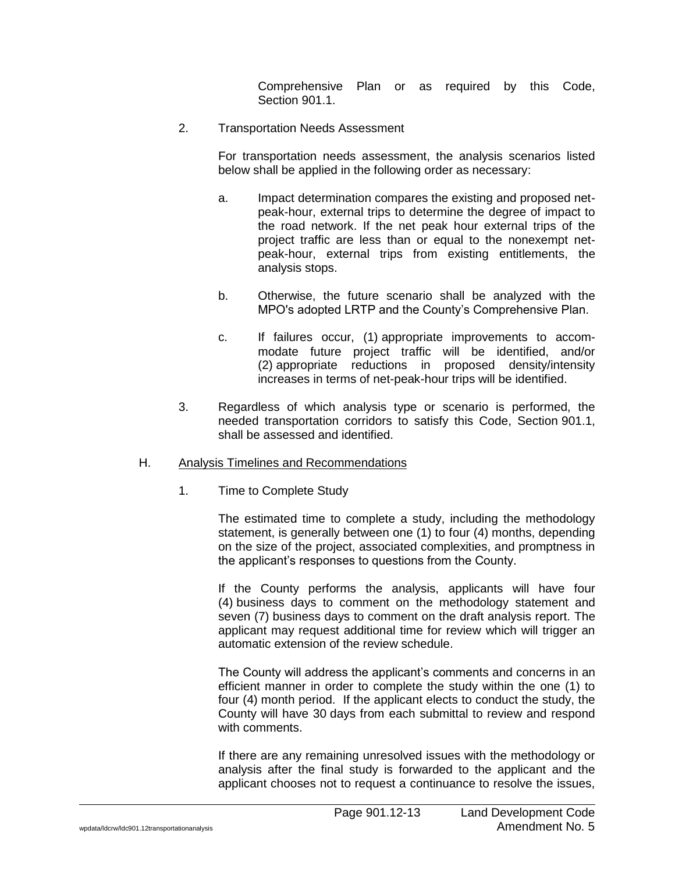Comprehensive Plan or as required by this Code, Section 901.1.

2. Transportation Needs Assessment

For transportation needs assessment, the analysis scenarios listed below shall be applied in the following order as necessary:

- a. Impact determination compares the existing and proposed netpeak-hour, external trips to determine the degree of impact to the road network. If the net peak hour external trips of the project traffic are less than or equal to the nonexempt netpeak-hour, external trips from existing entitlements, the analysis stops.
- b. Otherwise, the future scenario shall be analyzed with the MPO's adopted LRTP and the County's Comprehensive Plan.
- c. If failures occur, (1) appropriate improvements to accommodate future project traffic will be identified, and/or (2) appropriate reductions in proposed density/intensity increases in terms of net-peak-hour trips will be identified.
- 3. Regardless of which analysis type or scenario is performed, the needed transportation corridors to satisfy this Code, Section 901.1, shall be assessed and identified.

#### H. Analysis Timelines and Recommendations

1. Time to Complete Study

The estimated time to complete a study, including the methodology statement, is generally between one (1) to four (4) months, depending on the size of the project, associated complexities, and promptness in the applicant's responses to questions from the County.

If the County performs the analysis, applicants will have four (4) business days to comment on the methodology statement and seven (7) business days to comment on the draft analysis report. The applicant may request additional time for review which will trigger an automatic extension of the review schedule.

The County will address the applicant's comments and concerns in an efficient manner in order to complete the study within the one (1) to four (4) month period. If the applicant elects to conduct the study, the County will have 30 days from each submittal to review and respond with comments.

If there are any remaining unresolved issues with the methodology or analysis after the final study is forwarded to the applicant and the applicant chooses not to request a continuance to resolve the issues,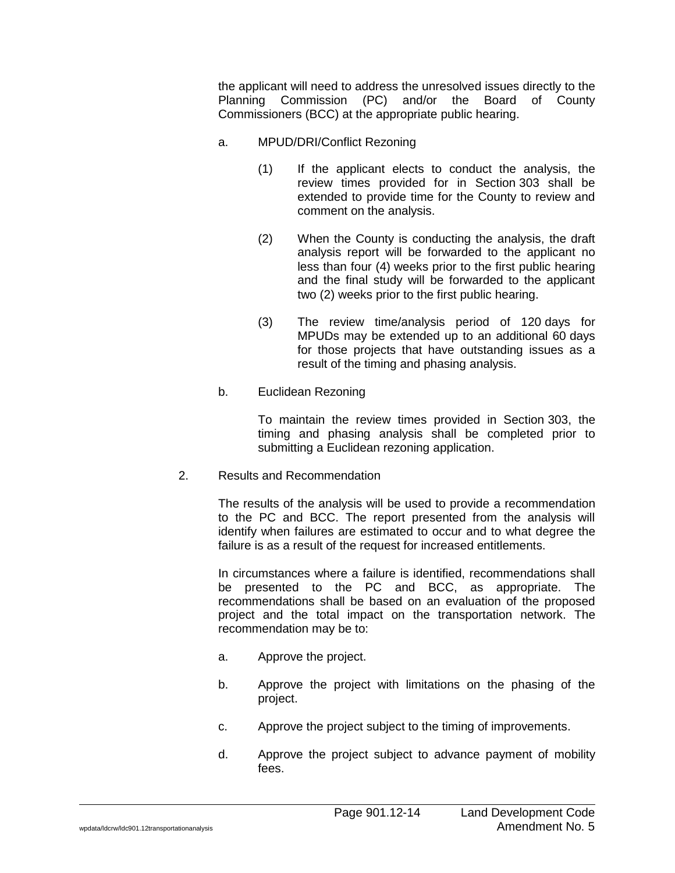the applicant will need to address the unresolved issues directly to the Planning Commission (PC) and/or the Board of County Commissioners (BCC) at the appropriate public hearing.

- a. MPUD/DRI/Conflict Rezoning
	- (1) If the applicant elects to conduct the analysis, the review times provided for in Section 303 shall be extended to provide time for the County to review and comment on the analysis.
	- (2) When the County is conducting the analysis, the draft analysis report will be forwarded to the applicant no less than four (4) weeks prior to the first public hearing and the final study will be forwarded to the applicant two (2) weeks prior to the first public hearing.
	- (3) The review time/analysis period of 120 days for MPUDs may be extended up to an additional 60 days for those projects that have outstanding issues as a result of the timing and phasing analysis.
- b. Euclidean Rezoning

To maintain the review times provided in Section 303, the timing and phasing analysis shall be completed prior to submitting a Euclidean rezoning application.

2. Results and Recommendation

The results of the analysis will be used to provide a recommendation to the PC and BCC. The report presented from the analysis will identify when failures are estimated to occur and to what degree the failure is as a result of the request for increased entitlements.

In circumstances where a failure is identified, recommendations shall be presented to the PC and BCC, as appropriate. The recommendations shall be based on an evaluation of the proposed project and the total impact on the transportation network. The recommendation may be to:

- a. Approve the project.
- b. Approve the project with limitations on the phasing of the project.
- c. Approve the project subject to the timing of improvements.
- d. Approve the project subject to advance payment of mobility fees.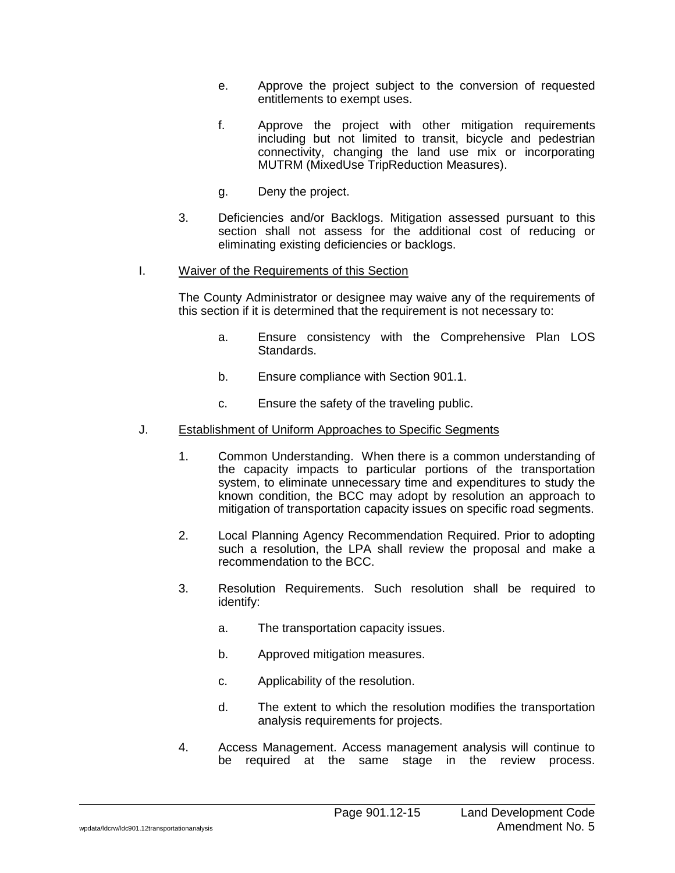- e. Approve the project subject to the conversion of requested entitlements to exempt uses.
- f. Approve the project with other mitigation requirements including but not limited to transit, bicycle and pedestrian connectivity, changing the land use mix or incorporating MUTRM (MixedUse TripReduction Measures).
- g. Deny the project.
- 3. Deficiencies and/or Backlogs. Mitigation assessed pursuant to this section shall not assess for the additional cost of reducing or eliminating existing deficiencies or backlogs.
- I. Waiver of the Requirements of this Section

The County Administrator or designee may waive any of the requirements of this section if it is determined that the requirement is not necessary to:

- a. Ensure consistency with the Comprehensive Plan LOS Standards.
- b. Ensure compliance with Section 901.1.
- c. Ensure the safety of the traveling public.
- J. Establishment of Uniform Approaches to Specific Segments
	- 1. Common Understanding. When there is a common understanding of the capacity impacts to particular portions of the transportation system, to eliminate unnecessary time and expenditures to study the known condition, the BCC may adopt by resolution an approach to mitigation of transportation capacity issues on specific road segments.
	- 2. Local Planning Agency Recommendation Required. Prior to adopting such a resolution, the LPA shall review the proposal and make a recommendation to the BCC.
	- 3. Resolution Requirements. Such resolution shall be required to identify:
		- a. The transportation capacity issues.
		- b. Approved mitigation measures.
		- c. Applicability of the resolution.
		- d. The extent to which the resolution modifies the transportation analysis requirements for projects.
	- 4. Access Management. Access management analysis will continue to be required at the same stage in the review process.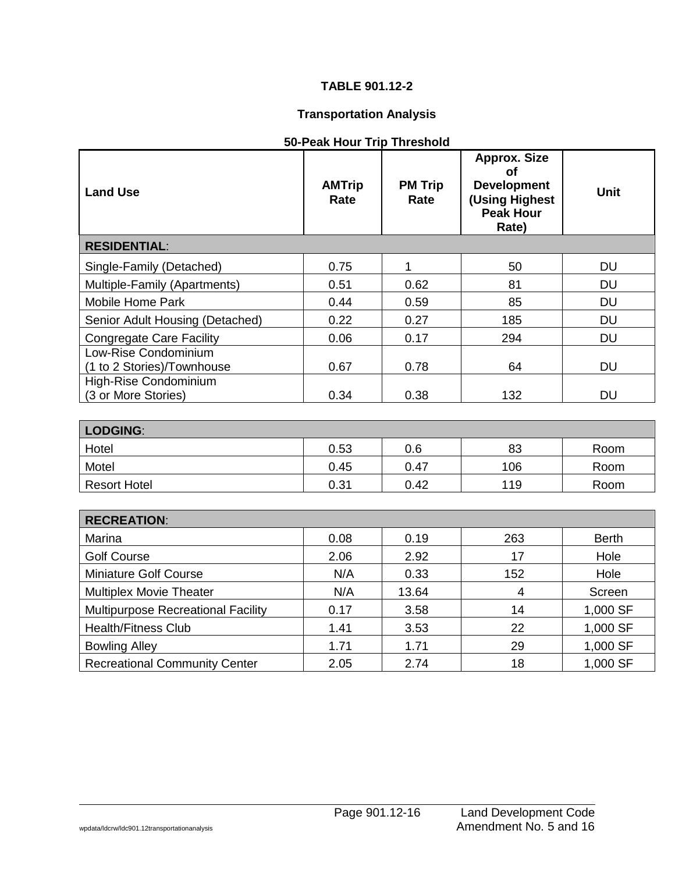# **TABLE 901.12-2**

# **Transportation Analysis**

| 50-Peak Hour Trip Threshold |
|-----------------------------|
|-----------------------------|

| <b>Land Use</b>                                    | <b>AMTrip</b><br>Rate | <b>PM Trip</b><br>Rate | <b>Approx. Size</b><br><b>of</b><br><b>Development</b><br>(Using Highest<br><b>Peak Hour</b><br>Rate) | <b>Unit</b>  |  |  |
|----------------------------------------------------|-----------------------|------------------------|-------------------------------------------------------------------------------------------------------|--------------|--|--|
| <b>RESIDENTIAL:</b>                                |                       |                        |                                                                                                       |              |  |  |
| Single-Family (Detached)                           | 0.75                  | 1                      | 50                                                                                                    | <b>DU</b>    |  |  |
| Multiple-Family (Apartments)                       | 0.51                  | 0.62                   | 81                                                                                                    | <b>DU</b>    |  |  |
| <b>Mobile Home Park</b>                            | 0.44                  | 0.59                   | 85                                                                                                    | <b>DU</b>    |  |  |
| Senior Adult Housing (Detached)                    | 0.22                  | 0.27                   | 185                                                                                                   | <b>DU</b>    |  |  |
| <b>Congregate Care Facility</b>                    | 0.06                  | 0.17                   | 294                                                                                                   | <b>DU</b>    |  |  |
| Low-Rise Condominium<br>(1 to 2 Stories)/Townhouse | 0.67                  | 0.78                   | 64                                                                                                    | <b>DU</b>    |  |  |
| High-Rise Condominium<br>(3 or More Stories)       | 0.34                  | 0.38                   | 132                                                                                                   | <b>DU</b>    |  |  |
| LODGING:                                           |                       |                        |                                                                                                       |              |  |  |
| Hotel                                              | 0.53                  | 0.6                    | 83                                                                                                    | Room         |  |  |
| Motel                                              | 0.45                  | 0.47                   | 106                                                                                                   | Room         |  |  |
| <b>Resort Hotel</b>                                | 0.31                  | 0.42                   | 119                                                                                                   | Room         |  |  |
|                                                    |                       |                        |                                                                                                       |              |  |  |
| <b>RECREATION:</b>                                 |                       |                        |                                                                                                       |              |  |  |
| Marina                                             | 0.08                  | 0.19                   | 263                                                                                                   | <b>Berth</b> |  |  |
| <b>Golf Course</b>                                 | 2.06                  | 2.92                   | 17                                                                                                    | Hole         |  |  |
| <b>Miniature Golf Course</b>                       | N/A                   | 0.33                   | 152                                                                                                   | Hole         |  |  |
| <b>Multiplex Movie Theater</b>                     | N/A                   | 13.64                  | $\overline{4}$                                                                                        | Screen       |  |  |
| Multipurpose Recreational Facility                 | 0.17                  | 3.58                   | 14                                                                                                    | 1,000 SF     |  |  |
| <b>Health/Fitness Club</b>                         | 1.41                  | 3.53                   | 22                                                                                                    | 1,000 SF     |  |  |
| <b>Bowling Alley</b>                               | 1.71                  | 1.71                   | 29                                                                                                    | 1,000 SF     |  |  |
| <b>Recreational Community Center</b>               | 2.05                  | 2.74                   | 18                                                                                                    | 1,000 SF     |  |  |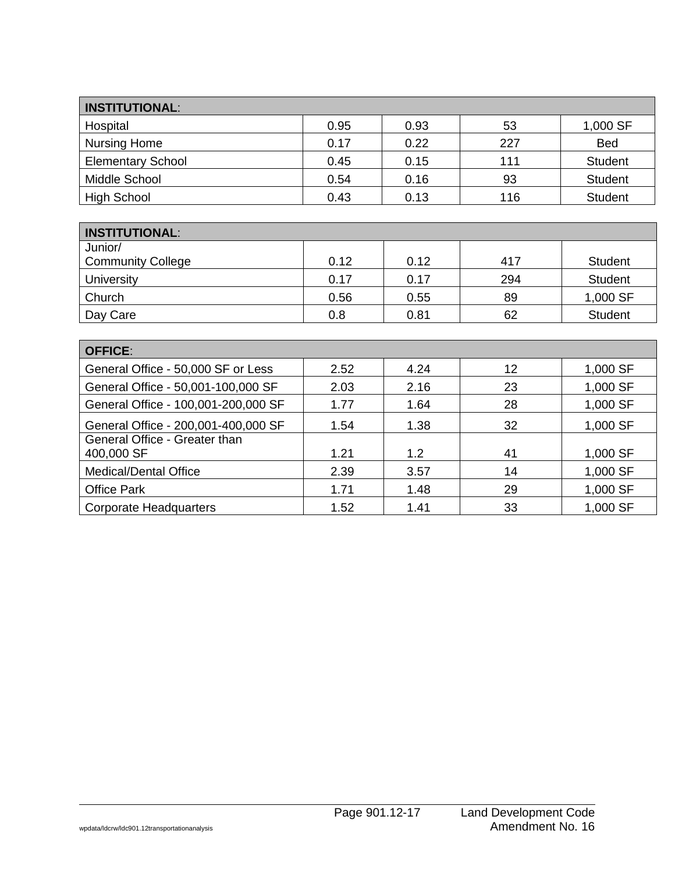| <b>INSTITUTIONAL:</b>    |      |      |     |                |
|--------------------------|------|------|-----|----------------|
| Hospital                 | 0.95 | 0.93 | 53  | 1,000 SF       |
| Nursing Home             | 0.17 | 0.22 | 227 | <b>Bed</b>     |
| <b>Elementary School</b> | 0.45 | 0.15 | 111 | <b>Student</b> |
| Middle School            | 0.54 | 0.16 | 93  | <b>Student</b> |
| <b>High School</b>       | 0.43 | 0.13 | 116 | <b>Student</b> |

| <b>INSTITUTIONAL:</b>    |      |      |     |                |
|--------------------------|------|------|-----|----------------|
| Junior/                  |      |      |     |                |
| <b>Community College</b> | 0.12 | 0.12 | 417 | <b>Student</b> |
| University               | 0.17 | 0.17 | 294 | <b>Student</b> |
| Church                   | 0.56 | 0.55 | 89  | 1,000 SF       |
| Day Care                 | 0.8  | 0.81 | 62  | <b>Student</b> |

| <b>OFFICE:</b>                              |      |      |    |          |  |
|---------------------------------------------|------|------|----|----------|--|
| General Office - 50,000 SF or Less          | 2.52 | 4.24 | 12 | 1,000 SF |  |
| General Office - 50,001-100,000 SF          | 2.03 | 2.16 | 23 | 1,000 SF |  |
| General Office - 100,001-200,000 SF         | 1.77 | 1.64 | 28 | 1,000 SF |  |
| General Office - 200,001-400,000 SF         | 1.54 | 1.38 | 32 | 1,000 SF |  |
| General Office - Greater than<br>400,000 SF | 1.21 | 1.2  | 41 | 1,000 SF |  |
| <b>Medical/Dental Office</b>                | 2.39 | 3.57 | 14 | 1,000 SF |  |
| <b>Office Park</b>                          | 1.71 | 1.48 | 29 | 1,000 SF |  |
| <b>Corporate Headquarters</b>               | 1.52 | 1.41 | 33 | 1,000 SF |  |